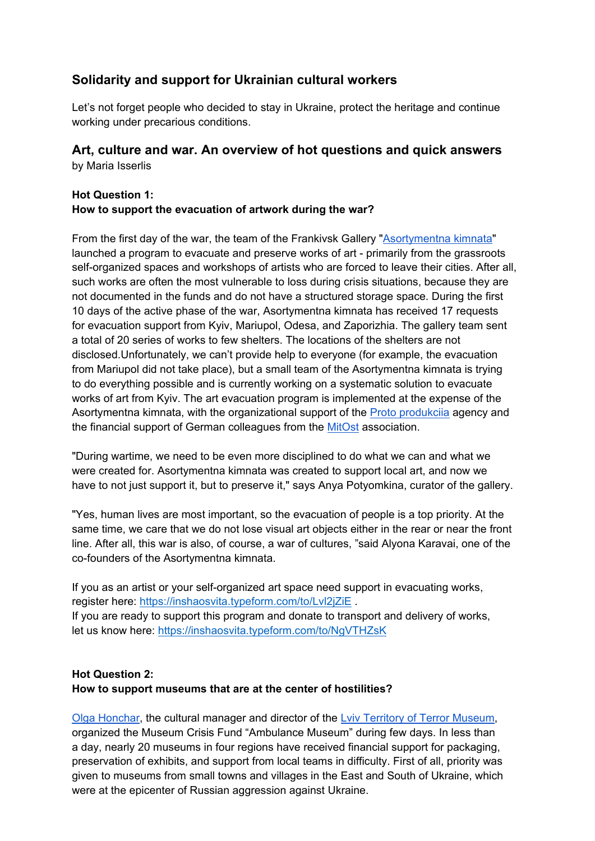## **Solidarity and support for Ukrainian cultural workers**

Let's not forget people who decided to stay in Ukraine, protect the heritage and continue working under precarious conditions.

# **Art, culture and war. An overview of hot questions and quick answers**

by Maria Isserlis

## **Hot Question 1: How to support the evacuation of artwork during the war?**

From the first day of the war, the team of the Frankivsk Gallery "Asortymentna kimnata" launched a program to evacuate and preserve works of art - primarily from the grassroots self-organized spaces and workshops of artists who are forced to leave their cities. After all, such works are often the most vulnerable to loss during crisis situations, because they are not documented in the funds and do not have a structured storage space. During the first 10 days of the active phase of the war, Asortymentna kimnata has received 17 requests for evacuation support from Kyiv, Mariupol, Odesa, and Zaporizhia. The gallery team sent a total of 20 series of works to few shelters. The locations of the shelters are not disclosed.Unfortunately, we can't provide help to everyone (for example, the evacuation from Mariupol did not take place), but a small team of the Asortymentna kimnata is trying to do everything possible and is currently working on a systematic solution to evacuate works of art from Kyiv. The art evacuation program is implemented at the expense of the Asortymentna kimnata, with the organizational support of the Proto produkciia agency and the financial support of German colleagues from the **MitOst** association.

"During wartime, we need to be even more disciplined to do what we can and what we were created for. Asortymentna kimnata was created to support local art, and now we have to not just support it, but to preserve it," says Anya Potyomkina, curator of the gallery.

"Yes, human lives are most important, so the evacuation of people is a top priority. At the same time, we care that we do not lose visual art objects either in the rear or near the front line. After all, this war is also, of course, a war of cultures, "said Alyona Karavai, one of the co-founders of the Asortymentna kimnata.

If you as an artist or your self-organized art space need support in evacuating works, register here: https://inshaosvita.typeform.com/to/Lvl2jZiE . If you are ready to support this program and donate to transport and delivery of works, let us know here: https://inshaosvita.typeform.com/to/NgVTHZsK

## **Hot Question 2: How to support museums that are at the center of hostilities?**

Olga Honchar, the cultural manager and director of the Lviv Territory of Terror Museum, organized the Museum Crisis Fund "Ambulance Museum" during few days. In less than a day, nearly 20 museums in four regions have received financial support for packaging, preservation of exhibits, and support from local teams in difficulty. First of all, priority was given to museums from small towns and villages in the East and South of Ukraine, which were at the epicenter of Russian aggression against Ukraine.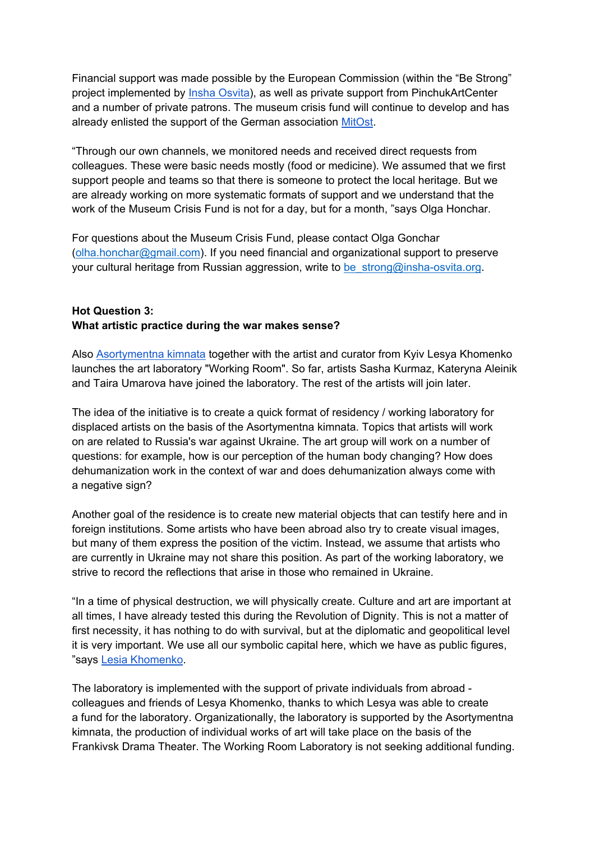Financial support was made possible by the European Commission (within the "Be Strong" project implemented by *Insha Osvita*), as well as private support from PinchukArtCenter and a number of private patrons. The museum crisis fund will continue to develop and has already enlisted the support of the German association MitOst.

"Through our own channels, we monitored needs and received direct requests from colleagues. These were basic needs mostly (food or medicine). We assumed that we first support people and teams so that there is someone to protect the local heritage. But we are already working on more systematic formats of support and we understand that the work of the Museum Crisis Fund is not for a day, but for a month, "says Olga Honchar.

For questions about the Museum Crisis Fund, please contact Olga Gonchar (olha.honchar@gmail.com). If you need financial and organizational support to preserve your cultural heritage from Russian aggression, write to be strong@insha-osvita.org.

#### **Hot Question 3: What artistic practice during the war makes sense?**

Also Asortymentna kimnata together with the artist and curator from Kyiv Lesya Khomenko launches the art laboratory "Working Room". So far, artists Sasha Kurmaz, Kateryna Aleinik and Taira Umarova have joined the laboratory. The rest of the artists will join later.

The idea of the initiative is to create a quick format of residency / working laboratory for displaced artists on the basis of the Asortymentna kimnata. Topics that artists will work on are related to Russia's war against Ukraine. The art group will work on a number of questions: for example, how is our perception of the human body changing? How does dehumanization work in the context of war and does dehumanization always come with a negative sign?

Another goal of the residence is to create new material objects that can testify here and in foreign institutions. Some artists who have been abroad also try to create visual images, but many of them express the position of the victim. Instead, we assume that artists who are currently in Ukraine may not share this position. As part of the working laboratory, we strive to record the reflections that arise in those who remained in Ukraine.

"In a time of physical destruction, we will physically create. Culture and art are important at all times, I have already tested this during the Revolution of Dignity. This is not a matter of first necessity, it has nothing to do with survival, but at the diplomatic and geopolitical level it is very important. We use all our symbolic capital here, which we have as public figures, "says Lesia Khomenko.

The laboratory is implemented with the support of private individuals from abroad colleagues and friends of Lesya Khomenko, thanks to which Lesya was able to create a fund for the laboratory. Organizationally, the laboratory is supported by the Asortymentna kimnata, the production of individual works of art will take place on the basis of the Frankivsk Drama Theater. The Working Room Laboratory is not seeking additional funding.